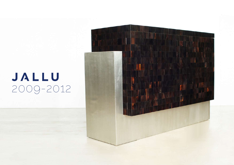# JALLU 2009-2012

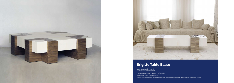



# **Brigitte Table Basse**

170cmL x 170cmD x 40cmH 67"Wide x 67"Deep x 16"High

Parchment and straw marquetry coffee table

Materials: Parchment, straw marquetry

Bespoke options: Possible to change the dimensions, the color of the parchment and straw marquetry color or pattern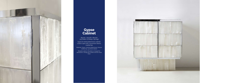

### **Gypse Cabinet**

80cmL x 30cmD x 85cmH 31.5"Wide x 12"Deep x 34"High

Gypse & nickel plated brass cabinet, 2 doors open into a sycomore interior, marble top

Materials: Gypse, chrome plated brass, thassos marble top, sycamore interior

Bespoke options: Possible to change the dimensions, change the marble and the metal finish

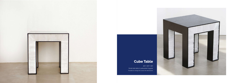



# **Cube Table**

450 x 450 x 450 Small side table in palisander & gypse Possible to change the wood, the dimensions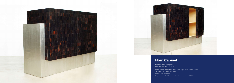



## **Horn Cabinet**

137cmL x 50cmP x 92.5cmH 54"Wide x 20"Deep x 36"High

2 door cabinet in dark horn in the doors, top & sides, base in pewter, oak interior with adjustable shelf

Materials: Horn, pewter, oak

Bespoke options: Possible to change the dimensions or the metal finish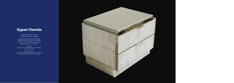# **Gypse Chevets**

69cmL x 45cmP x 53cmH 27"Wide x 18"Deep x 21"High

Materials: Gypse, chrome plated brass, thassos marble, sycamore interior

2 drawers bedside cabinet in gypse framed in brass, gypse on the sides framed in brass, thassos marble top, interior & back in sycamore

Bespoke options: Possible to change the dimensions, the number of drawers, the metal finish or the marble

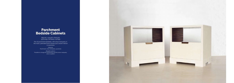### **Parchment Bedside Cabinets**

Pair of parchment bedsides, with straw marquetry in the niche, patinated brass drawer pull, drawer interior in sycomore

850cmL x 50cmD x 600cmH 33.5"Long x 20"Deep x 24"High

Materials: Parchment, straw marquetry, sycamore

Bespoke options: Possible to change the dimensions and the straw marquetry color or pattern

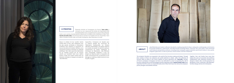Depuis la création de leur société, Sandra Aujourd'hui, l'entreprise est réputée pour Scolnik-Jallu et Yann Jallu collaborent avec sa maîtrise parfaite des savoir-faire de les plus grands architectes et décorateurs l'ébénisterie traditionnelle, ses finitions d'intérieur pour lesquels ils conçoivent sur spéciales remarquables, son design soigné et mesure des pièces de mobilier raffinées, où se ses meubles de qualité. Au-delà de repousser rencontrent prouesse technique et créativité constamment les limites esthétiques et esthétique. Yann Jallu supervise la fabrication techniques de l'ébénisterie, Jallu Ébénistes de ces meubles luxueux par les artisans peut s'enorgueillir d'apporter à tous ses salariés qui travaillent dans leurs ateliers projets son expertise pour la marqueterie de bretons, tandis que Sandra Scolnik-Jallu est directrice artistique et designer principale de placages en matériaux nobles comme le mica, Jallu Ébénistes.

paille, la ferronnerie fine, le parchemin et les la pyrite, le gypse.



Ébéniste émérite et Compagnon du Devoir, **Yann Jallu** a consacré sa vie à repousser les limites de l'ébénisterie afin de réinterpréter avec un regard neuf ce savoir-faire artisanal.

Suite à une carrière d'artiste peintre saluée par la critique et les institutions à New York, **Sandra Scolnik-Jallu** s'est lancée dans le secteur du mobilier de luxe. Ensemble, Yann Jallu et Sandra Scolnik-Jallu ont fondé l'entreprise Jallu Ébénistes en 2006.



### **À PROPOS**

The company's founders are respected in the world of fine furniture-making and design. Through their mastery of these rare materials and careful attention to detail, Jallu's first collection of furniture takes its place in the French tradition of luxury decorative arts. **YannJallu**, member of France's prestigious Compagnon du Devoir, has dedicated his career to expanding the craft of furniture-making as far as new technologies and the imagination allow. **Sandra Scolnik-Jallu** draws inspiration from her career as a respected studio artist in New York City on her role as the company's primary designer and aesthetic director.

Together, Yann and Sandra have more than twenty-five years of successful and ambitious collaborations with esteemed architects and designers. Galerie Jallu, recently opened on rue Bonaparte in Paris, showcases Jallu Ébénistes' furniture design and one-of-a-kind pieces.

Jallu Ébénistes are master craftsmen devoted to creating exquisite furniture, wall panels, and bespoke commissions for private residences, superyachts, and elite brands includingLalique, Chaumet, Dior, and Cartier. Their renowned work features extraordinary surfaces, including straw marquetry, gypse (selenite), parchment (vellum), mica, pyrite, shagreen (galuchat), as well as precious wood veneers and fine metalwork.

#### **ABOUT**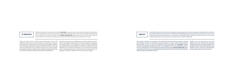The company's founders are respected in the world of fine furniture-making and design. Through their mastery of these rare materials and careful attention to detail, Jallu's first collection of furniture takes its place in the French tradition of luxury decorative arts. **YannJallu**, member of France's prestigious Compagnon du Devoir, has dedicated his career to expanding the craft of furniture-making as far as new technologies and the imagination allow. **Sandra Scolnik-Jallu** draws inspiration from her career as a respected studio artist in New York City on her role as the company's furniture design and one-of-a-kind pieces. primary designer and aesthetic director.

Together, Yann and Sandra have more than twenty-five years of successful and ambitious collaborations with esteemed architects and designers. Galerie Jallu, recently opened on rue Bonaparte in Paris, showcases Jallu Ébénistes'

Jallu Ébénistes are master craftsmen devoted to creating exquisite furniture, wall panels, and bespoke commissions for private residences, superyachts, and elite brands includingLalique, Chaumet, Dior, and Cartier. Their renowned work features extraordinary surfaces, including straw marquetry, gypse (selenite), parchment (vellum), mica, pyrite, shagreen (galuchat), as well as precious wood veneers and fine metalwork.

#### **ABOUT**

Depuis la création de leur société, Sandra Scolnik-Jallu et Yann Jallu collaborent avec les plus grands architectes et décorateurs d'intérieur pour lesquels ils conçoivent sur mesure des pièces de mobilier raffinées, où se rencontrent prouesse technique et créativité esthétique. Yann Jallu supervise la fabrication de ces meubles luxueux par les artisans salariés qui travaillent dans leurs ateliers bretons, tandis que Sandra Scolnik-Jallu est directrice artistique et designer principale de Jallu Ébénistes.

Aujourd'hui, l'entreprise est réputée pour sa maîtrise parfaite des savoirfaire de l'ébénisterie traditionnelle, ses finitions spéciales remarquables, son design soigné et ses meubles de qualité. Au-delà de repousser constamment les limites esthétiques et techniques de l'ébénisterie, Jallu Ébénistes peut s'enorgueillir d'apporter à tous ses projets son expertise pour la marqueterie de paille, la ferronnerie fine, le parchemin et les placages en matériaux nobles comme le mica, la pyrite, le gypse.

Ébéniste émérite et Compagnon du Devoir, **Yann Jallu** a consacré sa vie à repousser les limites de l'ébénisterie afin de réinterpréter avec un regard neuf ce savoir-faire artisanal. Suite à une carrière d'artiste peintre saluée par la critique et les institutions à New York, **Sandra Scolnik-Jallu** s'est lancée dans le secteur du mobilier de luxe. Ensemble, Yann Jallu et Sandra Scolnik-Jallu ont fondé l'entreprise Jallu Ébénistes en 2006.

### **À PROPOS**